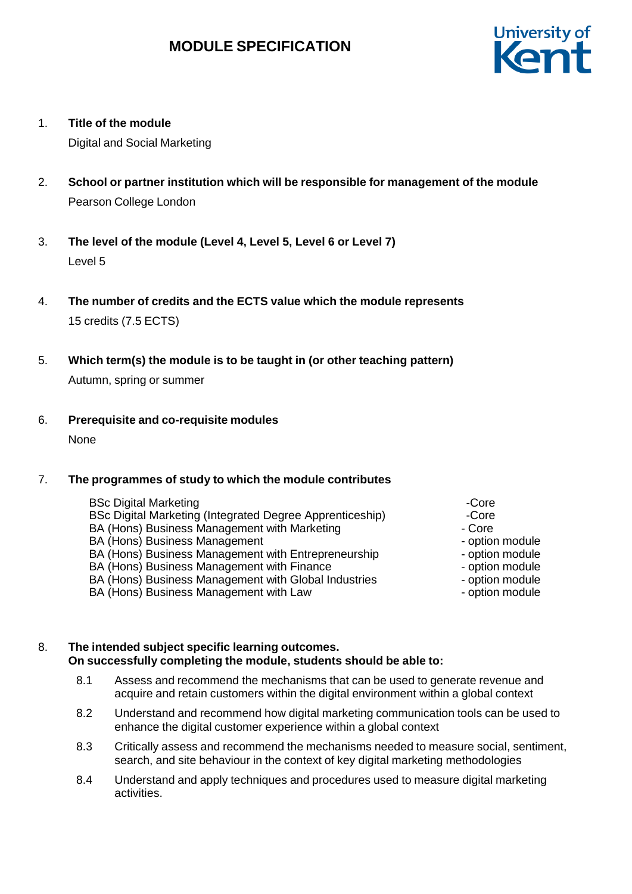

1. **Title of the module**

Digital and Social Marketing

- 2. **School or partner institution which will be responsible for management of the module** Pearson College London
- 3. **The level of the module (Level 4, Level 5, Level 6 or Level 7)** Level 5
- 4. **The number of credits and the ECTS value which the module represents** 15 credits (7.5 ECTS)
- 5. **Which term(s) the module is to be taught in (or other teaching pattern)** Autumn, spring or summer

6. **Prerequisite and co-requisite modules**

None

## 7. **The programmes of study to which the module contributes**

- BSc Digital Marketing Core Core Core Core Core Core Core Core Core Core Core Core Core Core Core Core Core Core Core Core Core Core Core Core Core Core Core Core Co BSc Digital Marketing (Integrated Degree Apprenticeship) -Core BA (Hons) Business Management with Marketing Fig. 2016 - Core BA (Hons) Business Management - Contract - option module BA (Hons) Business Management with Entrepreneurship - potion module BA (Hons) Business Management with Finance The Controller - option module BA (Hons) Business Management with Global Industries - option module BA (Hons) Business Management with Law example to the option module
	-
	-
	-
	-
	-
	-

## 8. **The intended subject specific learning outcomes. On successfully completing the module, students should be able to:**

- 8.1 Assess and recommend the mechanisms that can be used to generate revenue and acquire and retain customers within the digital environment within a global context
- 8.2 Understand and recommend how digital marketing communication tools can be used to enhance the digital customer experience within a global context
- 8.3 Critically assess and recommend the mechanisms needed to measure social, sentiment, search, and site behaviour in the context of key digital marketing methodologies
- 8.4 Understand and apply techniques and procedures used to measure digital marketing activities.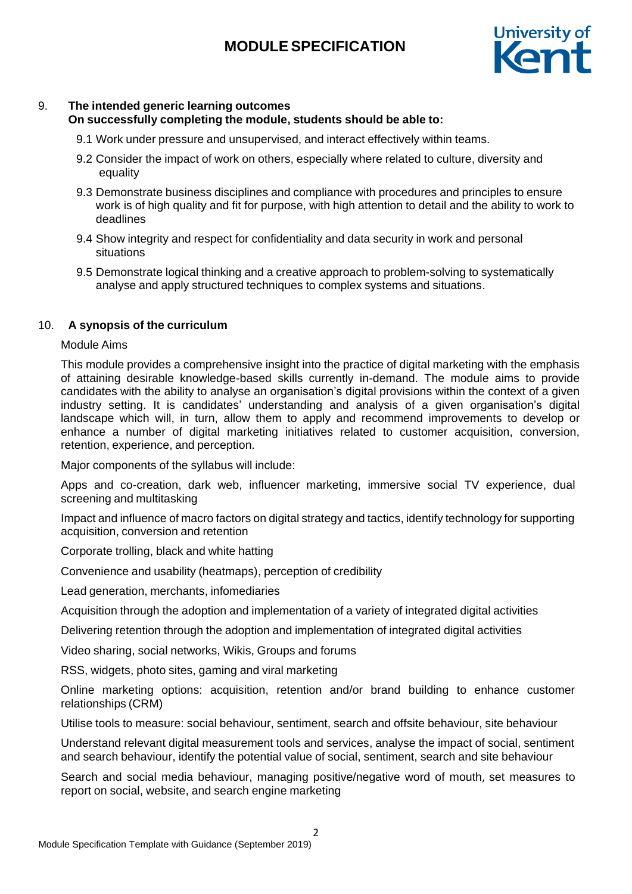

## 9. **The intended generic learning outcomes**

**On successfully completing the module, students should be able to:**

- 9.1 Work under pressure and unsupervised, and interact effectively within teams.
- 9.2 Consider the impact of work on others, especially where related to culture, diversity and equality
- 9.3 Demonstrate business disciplines and compliance with procedures and principles to ensure work is of high quality and fit for purpose, with high attention to detail and the ability to work to deadlines
- 9.4 Show integrity and respect for confidentiality and data security in work and personal situations
- 9.5 Demonstrate logical thinking and a creative approach to problem-solving to systematically analyse and apply structured techniques to complex systems and situations.

#### 10. **A synopsis of the curriculum**

#### Module Aims

This module provides a comprehensive insight into the practice of digital marketing with the emphasis of attaining desirable knowledge-based skills currently in-demand. The module aims to provide candidates with the ability to analyse an organisation's digital provisions within the context of a given industry setting. It is candidates' understanding and analysis of a given organisation's digital landscape which will, in turn, allow them to apply and recommend improvements to develop or enhance a number of digital marketing initiatives related to customer acquisition, conversion, retention, experience, and perception.

Major components of the syllabus will include:

Apps and co-creation, dark web, influencer marketing, immersive social TV experience, dual screening and multitasking

Impact and influence of macro factors on digital strategy and tactics, identify technology for supporting acquisition, conversion and retention

Corporate trolling, black and white hatting

Convenience and usability (heatmaps), perception of credibility

Lead generation, merchants, infomediaries

Acquisition through the adoption and implementation of a variety of integrated digital activities

Delivering retention through the adoption and implementation of integrated digital activities

Video sharing, social networks, Wikis, Groups and forums

RSS, widgets, photo sites, gaming and viral marketing

Online marketing options: acquisition, retention and/or brand building to enhance customer relationships (CRM)

Utilise tools to measure: social behaviour, sentiment, search and offsite behaviour, site behaviour

Understand relevant digital measurement tools and services, analyse the impact of social, sentiment and search behaviour, identify the potential value of social, sentiment, search and site behaviour

Search and social media behaviour, managing positive/negative word of mouth, set measures to report on social, website, and search engine marketing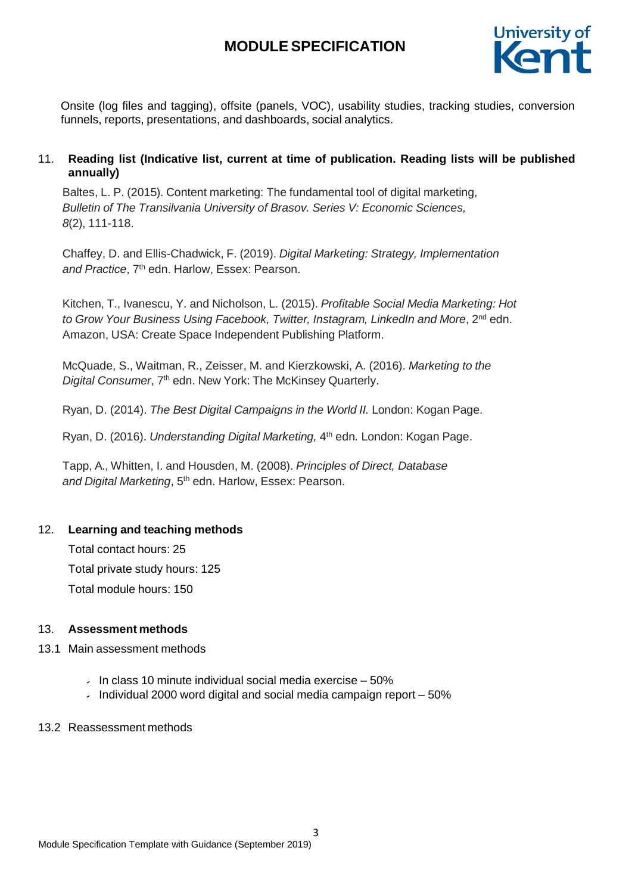

Onsite (log files and tagging), offsite (panels, VOC), usability studies, tracking studies, conversion funnels, reports, presentations, and dashboards, social analytics.

## 11. **Reading list (Indicative list, current at time of publication. Reading lists will be published annually)**

Baltes, L. P. (2015). Content marketing: The fundamental tool of digital marketing, *Bulletin of The Transilvania University of Brasov. Series V: Economic Sciences, 8*(2), 111-118.

Chaffey, D. and Ellis-Chadwick, F. (2019). *Digital Marketing: Strategy, Implementation* and Practice, 7<sup>th</sup> edn. Harlow, Essex: Pearson.

Kitchen, T., Ivanescu, Y. and Nicholson, L. (2015). *Profitable Social Media Marketing: Hot to Grow Your Business Using Facebook, Twitter, Instagram, LinkedIn and More*, 2 nd edn. Amazon, USA: Create Space Independent Publishing Platform.

McQuade, S., Waitman, R., Zeisser, M. and Kierzkowski, A. (2016). *Marketing to the* Digital Consumer, 7<sup>th</sup> edn. New York: The McKinsey Quarterly.

Ryan, D. (2014). *The Best Digital Campaigns in the World II.* London: Kogan Page.

Ryan, D. (2016). *Understanding Digital Marketing,* 4 th edn*.* London: Kogan Page.

Tapp, A., Whitten, I. and Housden, M. (2008). *Principles of Direct, Database* and Digital Marketing, 5<sup>th</sup> edn. Harlow, Essex: Pearson.

## 12. **Learning and teaching methods**

Total contact hours: 25 Total private study hours: 125 Total module hours: 150

## 13. **Assessment methods**

#### 13.1 Main assessment methods

- In class 10 minute individual social media exercise  $-50\%$
- $\cdot$  Individual 2000 word digital and social media campaign report  $-50\%$

#### 13.2 Reassessment methods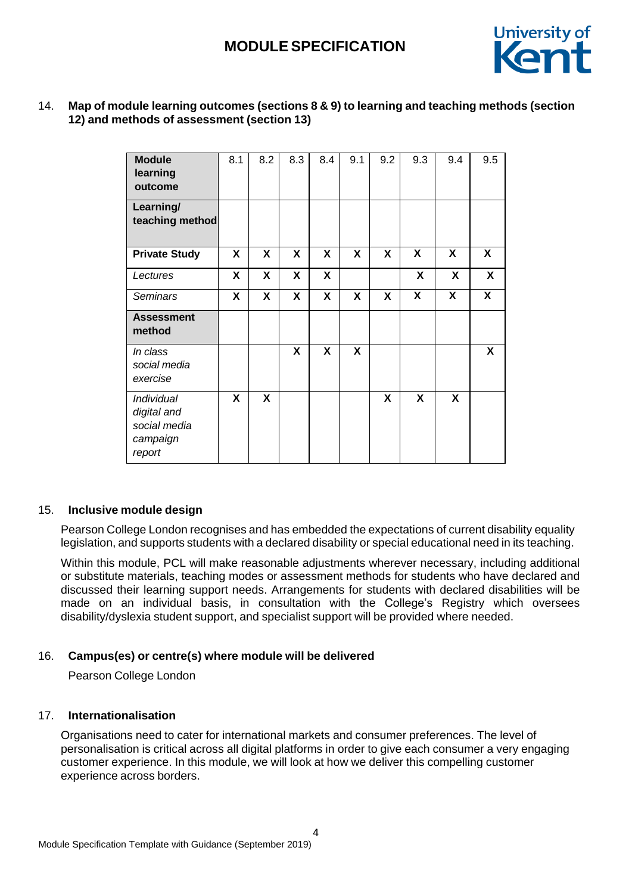

## 14. **Map of module learning outcomes (sections 8 & 9) to learning and teaching methods (section 12) and methods of assessment (section 13)**

| <b>Module</b><br>learning<br>outcome                                   | 8.1 | 8.2 | 8.3 | 8.4 | 9.1 | 9.2 | 9.3 | 9.4                       | 9.5                     |
|------------------------------------------------------------------------|-----|-----|-----|-----|-----|-----|-----|---------------------------|-------------------------|
| Learning/<br>teaching method                                           |     |     |     |     |     |     |     |                           |                         |
| <b>Private Study</b>                                                   | X   | X   | X   | X   | X   | X   | X   | X                         | $\mathsf{x}$            |
| Lectures                                                               | X   | X   | X   | X   |     |     | X   | X                         | X                       |
| <b>Seminars</b>                                                        | X   | X   | X   | X   | X   | X   | X   | $\boldsymbol{\mathsf{X}}$ | $\overline{\mathbf{X}}$ |
| <b>Assessment</b><br>method                                            |     |     |     |     |     |     |     |                           |                         |
| In class<br>social media<br>exercise                                   |     |     | X   | X   | X   |     |     |                           | X                       |
| <i>Individual</i><br>digital and<br>social media<br>campaign<br>report | X   | X   |     |     |     | X   | X   | X                         |                         |

#### 15. **Inclusive module design**

Pearson College London recognises and has embedded the expectations of current disability equality legislation, and supports students with a declared disability or special educational need in its teaching.

Within this module, PCL will make reasonable adjustments wherever necessary, including additional or substitute materials, teaching modes or assessment methods for students who have declared and discussed their learning support needs. Arrangements for students with declared disabilities will be made on an individual basis, in consultation with the College's Registry which oversees disability/dyslexia student support, and specialist support will be provided where needed.

## 16. **Campus(es) or centre(s) where module will be delivered**

Pearson College London

## 17. **Internationalisation**

Organisations need to cater for international markets and consumer preferences. The level of personalisation is critical across all digital platforms in order to give each consumer a very engaging customer experience. In this module, we will look at how we deliver this compelling customer experience across borders.